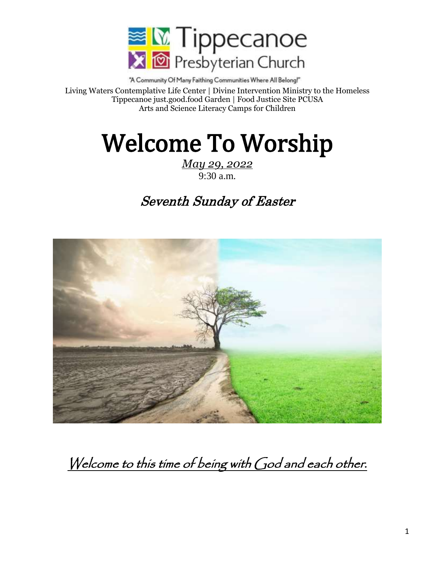

"A Community Of Many Faithing Communities Where All Belong!" Living Waters Contemplative Life Center | Divine Intervention Ministry to the Homeless Tippecanoe just.good.food Garden | Food Justice Site PCUSA Arts and Science Literacy Camps for Children

# Welcome To Worship

*May 29, 2022* 9:30 a.m.

# Seventh Sunday of Easter



Welcome to this time of being with God and each other.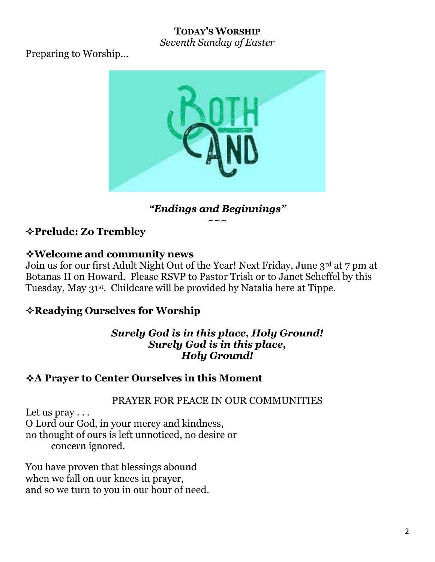# **TODAY'S WORSHIP**

*Seventh Sunday of Easter*

Preparing to Worship…



# *"Endings and Beginnings"*

 $\sim\sim\!\sim$ 

**Prelude: Zo Trembley**

# **Welcome and community news**

Join us for our first Adult Night Out of the Year! Next Friday, June 3rd at 7 pm at Botanas II on Howard. Please RSVP to Pastor Trish or to Janet Scheffel by this Tuesday, May 31st . Childcare will be provided by Natalia here at Tippe.

# **Readying Ourselves for Worship**

#### *Surely God is in this place, Holy Ground! Surely God is in this place, Holy Ground!*

## **A Prayer to Center Ourselves in this Moment**

## PRAYER FOR PEACE IN OUR COMMUNITIES

Let us  $\text{pray} \ldots$ O Lord our God, in your mercy and kindness, no thought of ours is left unnoticed, no desire or concern ignored.

You have proven that blessings abound when we fall on our knees in prayer, and so we turn to you in our hour of need.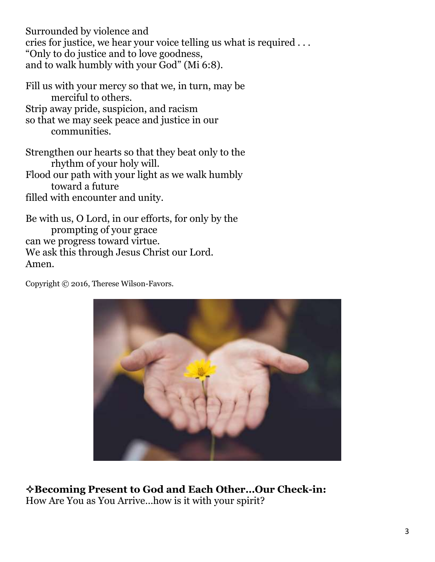Surrounded by violence and cries for justice, we hear your voice telling us what is required . . . "Only to do justice and to love goodness, and to walk humbly with your God" (Mi 6:8).

Fill us with your mercy so that we, in turn, may be merciful to others. Strip away pride, suspicion, and racism so that we may seek peace and justice in our communities.

Strengthen our hearts so that they beat only to the rhythm of your holy will.

Flood our path with your light as we walk humbly toward a future

filled with encounter and unity.

Be with us, O Lord, in our efforts, for only by the prompting of your grace can we progress toward virtue. We ask this through Jesus Christ our Lord. Amen.

Copyright © 2016, Therese Wilson-Favors.



**Becoming Present to God and Each Other…Our Check-in:** How Are You as You Arrive…how is it with your spirit?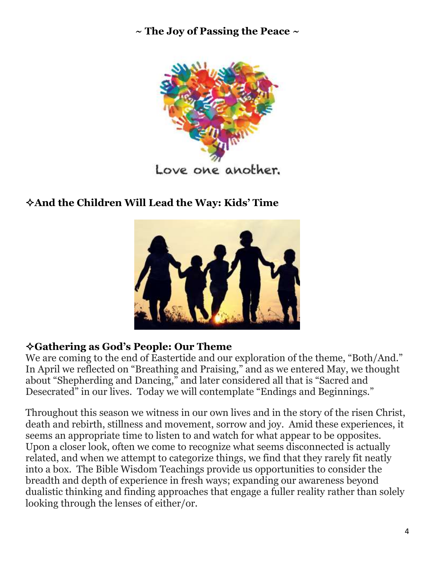**~ The Joy of Passing the Peace ~**



# **And the Children Will Lead the Way: Kids' Time**



## **Gathering as God's People: Our Theme**

We are coming to the end of Eastertide and our exploration of the theme, "Both/And." In April we reflected on "Breathing and Praising," and as we entered May, we thought about "Shepherding and Dancing," and later considered all that is "Sacred and Desecrated" in our lives. Today we will contemplate "Endings and Beginnings."

Throughout this season we witness in our own lives and in the story of the risen Christ, death and rebirth, stillness and movement, sorrow and joy. Amid these experiences, it seems an appropriate time to listen to and watch for what appear to be opposites. Upon a closer look, often we come to recognize what seems disconnected is actually related, and when we attempt to categorize things, we find that they rarely fit neatly into a box. The Bible Wisdom Teachings provide us opportunities to consider the breadth and depth of experience in fresh ways; expanding our awareness beyond dualistic thinking and finding approaches that engage a fuller reality rather than solely looking through the lenses of either/or.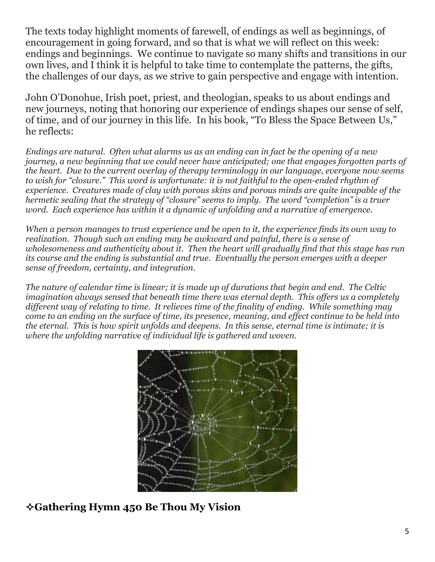The texts today highlight moments of farewell, of endings as well as beginnings, of encouragement in going forward, and so that is what we will reflect on this week: endings and beginnings. We continue to navigate so many shifts and transitions in our own lives, and I think it is helpful to take time to contemplate the patterns, the gifts, the challenges of our days, as we strive to gain perspective and engage with intention.

John O'Donohue, Irish poet, priest, and theologian, speaks to us about endings and new journeys, noting that honoring our experience of endings shapes our sense of self, of time, and of our journey in this life. In his book, "To Bless the Space Between Us," he reflects:

*Endings are natural. Often what alarms us as an ending can in fact be the opening of a new journey, a new beginning that we could never have anticipated; one that engages forgotten parts of the heart. Due to the current overlay of therapy terminology in our language, everyone now seems to wish for "closure." This word is unfortunate: it is not faithful to the open-ended rhythm of experience. Creatures made of clay with porous skins and porous minds are quite incapable of the hermetic sealing that the strategy of "closure" seems to imply. The word "completion" is a truer word. Each experience has within it a dynamic of unfolding and a narrative of emergence.*

*When a person manages to trust experience and be open to it, the experience finds its own way to realization. Though such an ending may be awkward and painful, there is a sense of wholesomeness and authenticity about it. Then the heart will gradually find that this stage has run its course and the ending is substantial and true. Eventually the person emerges with a deeper sense of freedom, certainty, and integration.*

*The nature of calendar time is linear; it is made up of durations that begin and end. The Celtic imagination always sensed that beneath time there was eternal depth. This offers us a completely different way of relating to time. It relieves time of the finality of ending. While something may come to an ending on the surface of time, its presence, meaning, and effect continue to be held into the eternal. This is how spirit unfolds and deepens. In this sense, eternal time is intimate; it is where the unfolding narrative of individual life is gathered and woven.*



# **Gathering Hymn 450 Be Thou My Vision**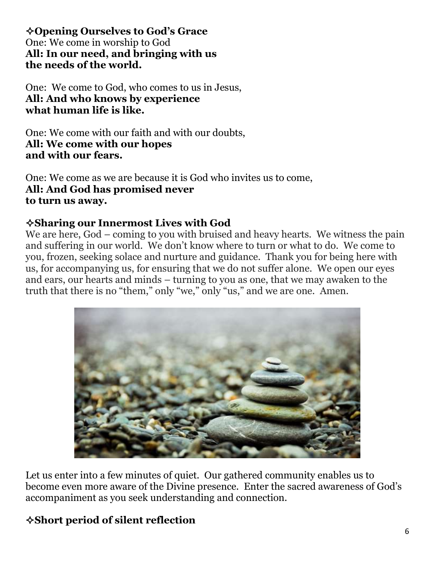**Opening Ourselves to God's Grace** One: We come in worship to God **All: In our need, and bringing with us the needs of the world.**

One: We come to God, who comes to us in Jesus, **All: And who knows by experience what human life is like.**

One: We come with our faith and with our doubts, **All: We come with our hopes and with our fears.**

One: We come as we are because it is God who invites us to come, **All: And God has promised never to turn us away.**

#### **Sharing our Innermost Lives with God**

We are here, God – coming to you with bruised and heavy hearts. We witness the pain and suffering in our world. We don't know where to turn or what to do. We come to you, frozen, seeking solace and nurture and guidance. Thank you for being here with us, for accompanying us, for ensuring that we do not suffer alone. We open our eyes and ears, our hearts and minds – turning to you as one, that we may awaken to the truth that there is no "them," only "we," only "us," and we are one. Amen.



Let us enter into a few minutes of quiet. Our gathered community enables us to become even more aware of the Divine presence. Enter the sacred awareness of God's accompaniment as you seek understanding and connection.

# **Short period of silent reflection**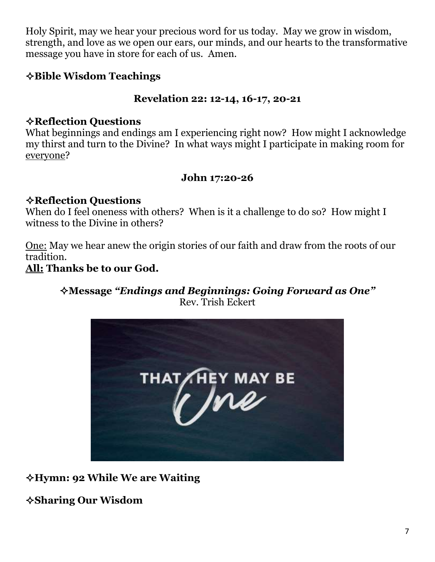Holy Spirit, may we hear your precious word for us today. May we grow in wisdom, strength, and love as we open our ears, our minds, and our hearts to the transformative message you have in store for each of us. Amen.

## **Bible Wisdom Teachings**

#### **Revelation 22: 12-14, 16-17, 20-21**

#### **Reflection Questions**

What beginnings and endings am I experiencing right now? How might I acknowledge my thirst and turn to the Divine? In what ways might I participate in making room for everyone?

#### **John 17:20-26**

#### **Reflection Questions**

When do I feel oneness with others? When is it a challenge to do so? How might I witness to the Divine in others?

One: May we hear anew the origin stories of our faith and draw from the roots of our tradition.

#### **All: Thanks be to our God.**

#### **Message** *"Endings and Beginnings: Going Forward as One"* Rev. Trish Eckert



**Hymn: 92 While We are Waiting**

**Sharing Our Wisdom**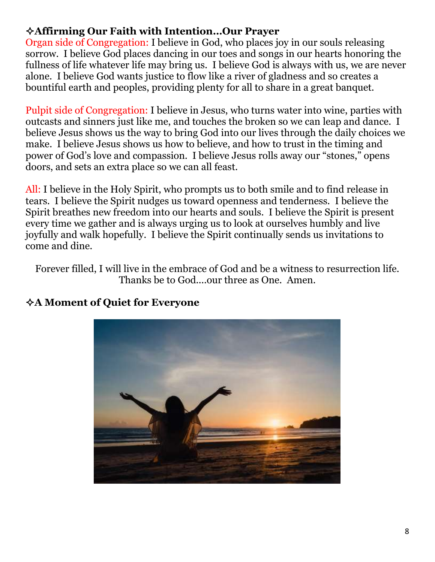#### **Affirming Our Faith with Intention…Our Prayer**

Organ side of Congregation: I believe in God, who places joy in our souls releasing sorrow. I believe God places dancing in our toes and songs in our hearts honoring the fullness of life whatever life may bring us. I believe God is always with us, we are never alone. I believe God wants justice to flow like a river of gladness and so creates a bountiful earth and peoples, providing plenty for all to share in a great banquet.

Pulpit side of Congregation: I believe in Jesus, who turns water into wine, parties with outcasts and sinners just like me, and touches the broken so we can leap and dance. I believe Jesus shows us the way to bring God into our lives through the daily choices we make. I believe Jesus shows us how to believe, and how to trust in the timing and power of God's love and compassion. I believe Jesus rolls away our "stones," opens doors, and sets an extra place so we can all feast.

All: I believe in the Holy Spirit, who prompts us to both smile and to find release in tears. I believe the Spirit nudges us toward openness and tenderness. I believe the Spirit breathes new freedom into our hearts and souls. I believe the Spirit is present every time we gather and is always urging us to look at ourselves humbly and live joyfully and walk hopefully. I believe the Spirit continually sends us invitations to come and dine.

Forever filled, I will live in the embrace of God and be a witness to resurrection life. Thanks be to God....our three as One. Amen.



#### **A Moment of Quiet for Everyone**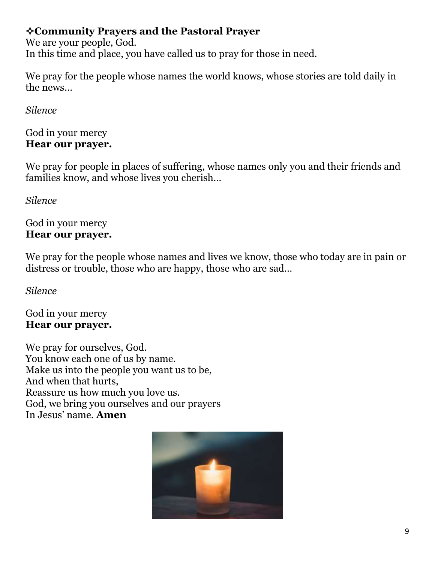## **Community Prayers and the Pastoral Prayer**

We are your people, God. In this time and place, you have called us to pray for those in need.

We pray for the people whose names the world knows, whose stories are told daily in the news…

*Silence*

#### God in your mercy **Hear our prayer.**

We pray for people in places of suffering, whose names only you and their friends and families know, and whose lives you cherish…

*Silence*

#### God in your mercy **Hear our prayer.**

We pray for the people whose names and lives we know, those who today are in pain or distress or trouble, those who are happy, those who are sad…

*Silence*

God in your mercy **Hear our prayer.**

We pray for ourselves, God. You know each one of us by name. Make us into the people you want us to be, And when that hurts, Reassure us how much you love us. God, we bring you ourselves and our prayers In Jesus' name. **Amen**